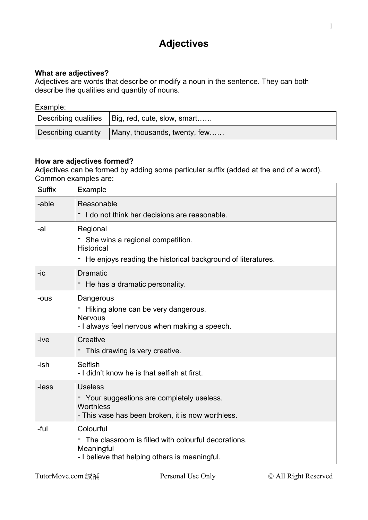# **Adjectives**

# **What are adjectives?**

Adjectives are words that describe or modify a noun in the sentence. They can both describe the qualities and quantity of nouns.

## Example:

| Describing qualities   Big, red, cute, slow, smart           |
|--------------------------------------------------------------|
| Describing quantity $\parallel$ Many, thousands, twenty, few |

# **How are adjectives formed?**

Adjectives can be formed by adding some particular suffix (added at the end of a word). Common examples are:

| <b>Suffix</b> | <b>Example</b>                                                                                                                     |
|---------------|------------------------------------------------------------------------------------------------------------------------------------|
| -able         | Reasonable<br>I do not think her decisions are reasonable.                                                                         |
| -al           | Regional<br>- She wins a regional competition.<br><b>Historical</b><br>He enjoys reading the historical background of literatures. |
| -ic           | <b>Dramatic</b><br>He has a dramatic personality.                                                                                  |
| -ous          | Dangerous<br>Hiking alone can be very dangerous.<br><b>Nervous</b><br>- I always feel nervous when making a speech.                |
| -ive          | Creative<br>- This drawing is very creative.                                                                                       |
| -ish          | Selfish<br>- I didn't know he is that selfish at first.                                                                            |
| -less         | <b>Useless</b><br>- Your suggestions are completely useless.<br>Worthless<br>- This vase has been broken, it is now worthless.     |
| -ful          | Colourful<br>The classroom is filled with colourful decorations.<br>Meaningful<br>- I believe that helping others is meaningful.   |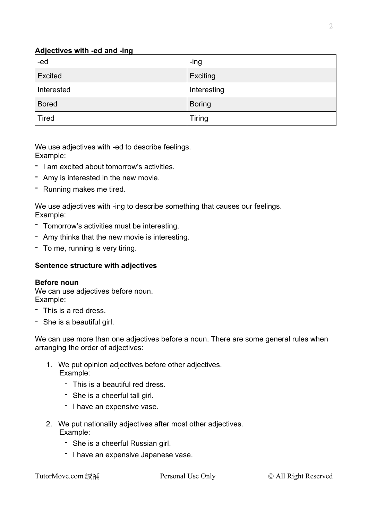## **Adjectives with -ed and -ing**

| -ed          | -ing          |
|--------------|---------------|
| Excited      | Exciting      |
| Interested   | Interesting   |
| <b>Bored</b> | <b>Boring</b> |
| <b>Tired</b> | <b>Tiring</b> |

We use adjectives with -ed to describe feelings. Example:

- I am excited about tomorrow's activities.
- Amy is interested in the new movie.
- Running makes me tired.

We use adjectives with -ing to describe something that causes our feelings. Example:

- Tomorrow's activities must be interesting.
- Amy thinks that the new movie is interesting.
- To me, running is very tiring.

## **Sentence structure with adjectives**

#### **Before noun**

We can use adjectives before noun. Example:

- This is a red dress.
- She is a beautiful girl.

We can use more than one adjectives before a noun. There are some general rules when arranging the order of adjectives:

- 1. We put opinion adjectives before other adjectives. Example:
	- This is a beautiful red dress.
	- She is a cheerful tall girl.
	- I have an expensive vase.
- 2. We put nationality adjectives after most other adjectives. Example:
	- She is a cheerful Russian girl.
	- I have an expensive Japanese vase.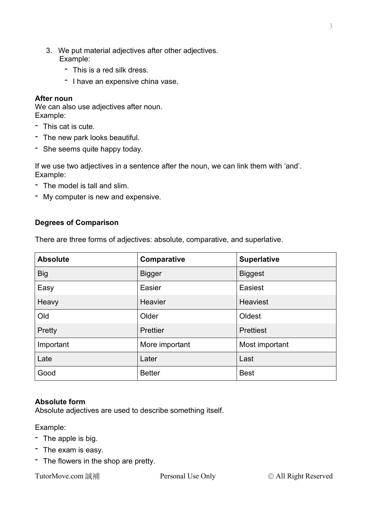- 3. We put material adjectives after other adjectives. Example:
	- This is a red silk dress.
	- I have an expensive china vase.

#### **After noun**

We can also use adjectives after noun. Example:

- This cat is cute.
- The new park looks beautiful.
- She seems quite happy today.

If we use two adjectives in a sentence after the noun, we can link them with 'and'. Example:

- The model is tall and slim.
- My computer is new and expensive.

## **Degrees of Comparison**

There are three forms of adjectives: absolute, comparative, and superlative.

| <b>Absolute</b> | Comparative    | <b>Superlative</b> |
|-----------------|----------------|--------------------|
| <b>Big</b>      | <b>Bigger</b>  | <b>Biggest</b>     |
| Easy            | Easier         | Easiest            |
| Heavy           | <b>Heavier</b> | <b>Heaviest</b>    |
| Old             | Older          | Oldest             |
| Pretty          | Prettier       | <b>Prettiest</b>   |
| Important       | More important | Most important     |
| Late            | Later          | Last               |
| Good            | <b>Better</b>  | <b>Best</b>        |

## **Absolute form**

Absolute adjectives are used to describe something itself.

Example:

- The apple is big.
- The exam is easy.
- The flowers in the shop are pretty.

TutorMove.com 誠補 **Personal Use Only** © All Right Reserved